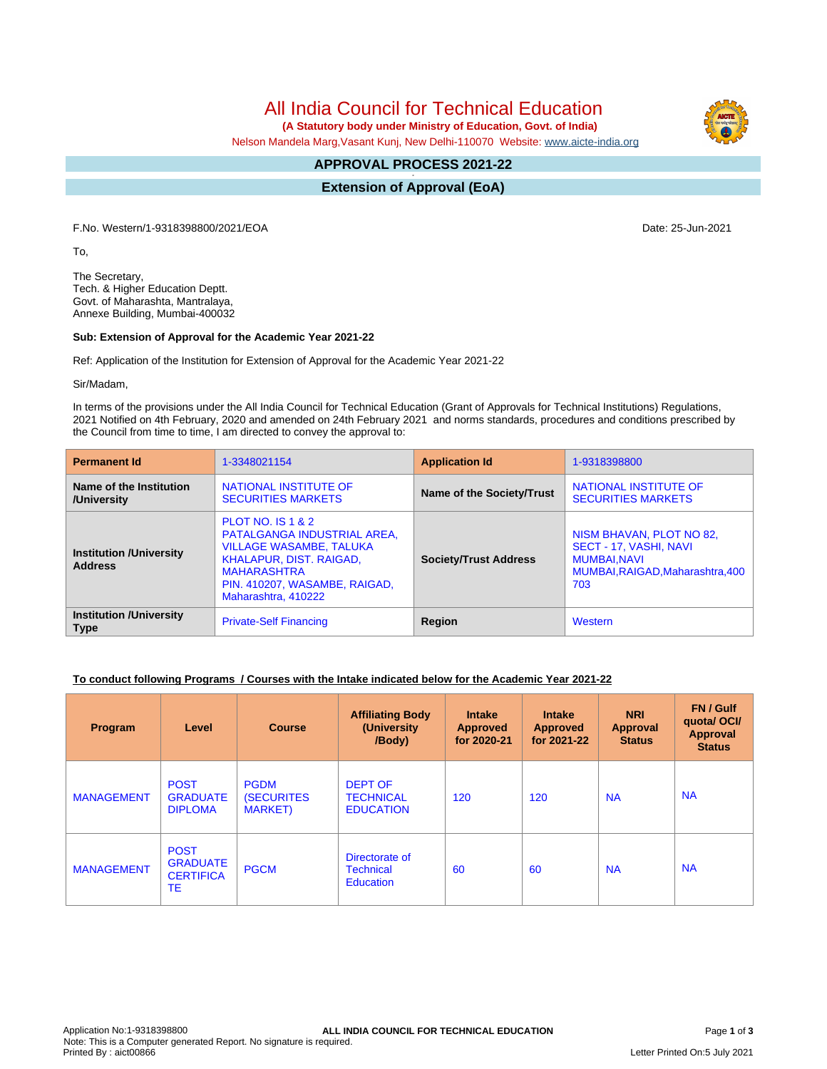All India Council for Technical Education

 **(A Statutory body under Ministry of Education, Govt. of India)**

Nelson Mandela Marg,Vasant Kunj, New Delhi-110070 Website: [www.aicte-india.org](http://www.aicte-india.org)

#### **APPROVAL PROCESS 2021-22 -**

**Extension of Approval (EoA)**

F.No. Western/1-9318398800/2021/EOA Date: 25-Jun-2021

To,

The Secretary, Tech. & Higher Education Deptt. Govt. of Maharashta, Mantralaya, Annexe Building, Mumbai-400032

#### **Sub: Extension of Approval for the Academic Year 2021-22**

Ref: Application of the Institution for Extension of Approval for the Academic Year 2021-22

Sir/Madam,

In terms of the provisions under the All India Council for Technical Education (Grant of Approvals for Technical Institutions) Regulations, 2021 Notified on 4th February, 2020 and amended on 24th February 2021 and norms standards, procedures and conditions prescribed by the Council from time to time, I am directed to convey the approval to:

| <b>Permanent Id</b>                              | 1-3348021154                                                                                                                                                                                                  | <b>Application Id</b>        | 1-9318398800                                                                                                        |  |
|--------------------------------------------------|---------------------------------------------------------------------------------------------------------------------------------------------------------------------------------------------------------------|------------------------------|---------------------------------------------------------------------------------------------------------------------|--|
| Name of the Institution<br>/University           | NATIONAL INSTITUTE OF<br><b>SECURITIES MARKETS</b>                                                                                                                                                            | Name of the Society/Trust    | NATIONAL INSTITUTE OF<br><b>SECURITIES MARKETS</b>                                                                  |  |
| <b>Institution /University</b><br><b>Address</b> | <b>PLOT NO. IS 1 &amp; 2</b><br>PATALGANGA INDUSTRIAL AREA,<br><b>VILLAGE WASAMBE, TALUKA</b><br><b>KHALAPUR, DIST. RAIGAD,</b><br><b>MAHARASHTRA</b><br>PIN. 410207, WASAMBE, RAIGAD,<br>Maharashtra, 410222 | <b>Society/Trust Address</b> | NISM BHAVAN, PLOT NO 82,<br>SECT - 17, VASHI, NAVI<br><b>MUMBAI.NAVI</b><br>MUMBAI, RAIGAD, Maharashtra, 400<br>703 |  |
| <b>Institution /University</b><br><b>Type</b>    | <b>Private-Self Financing</b>                                                                                                                                                                                 | Region                       | Western                                                                                                             |  |

## **To conduct following Programs / Courses with the Intake indicated below for the Academic Year 2021-22**

| Program           | Level                                                    | <b>Course</b>                                        | <b>Affiliating Body</b><br>(University)<br>/Body)      | <b>Intake</b><br><b>Approved</b><br>for 2020-21 | <b>Intake</b><br><b>Approved</b><br>for 2021-22 | <b>NRI</b><br>Approval<br><b>Status</b> | FN / Gulf<br>quotal OCI/<br><b>Approval</b><br><b>Status</b> |
|-------------------|----------------------------------------------------------|------------------------------------------------------|--------------------------------------------------------|-------------------------------------------------|-------------------------------------------------|-----------------------------------------|--------------------------------------------------------------|
| <b>MANAGEMENT</b> | <b>POST</b><br><b>GRADUATE</b><br><b>DIPLOMA</b>         | <b>PGDM</b><br><b>(SECURITES)</b><br><b>MARKET</b> ) | <b>DEPT OF</b><br><b>TECHNICAL</b><br><b>EDUCATION</b> | 120                                             | 120                                             | <b>NA</b>                               | <b>NA</b>                                                    |
| <b>MANAGEMENT</b> | <b>POST</b><br><b>GRADUATE</b><br><b>CERTIFICA</b><br>TE | <b>PGCM</b>                                          | Directorate of<br><b>Technical</b><br><b>Education</b> | 60                                              | 60                                              | <b>NA</b>                               | <b>NA</b>                                                    |

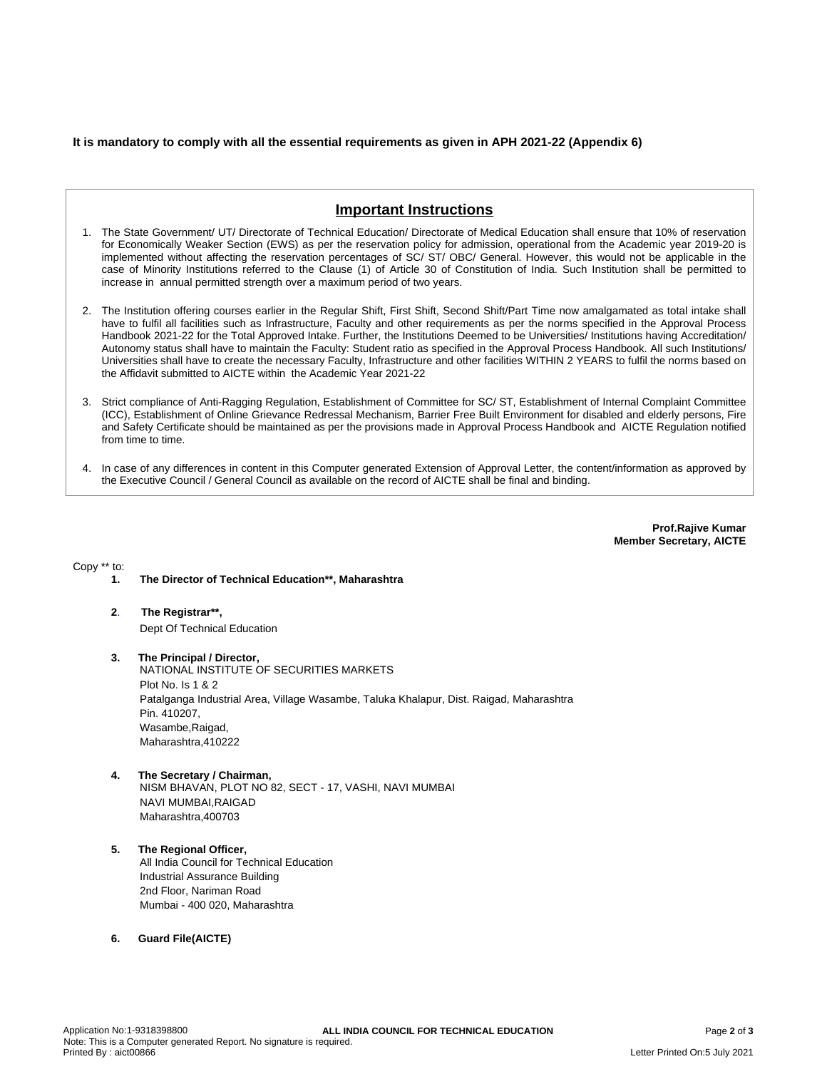### **It is mandatory to comply with all the essential requirements as given in APH 2021-22 (Appendix 6)**

# **Important Instructions**

- 1. The State Government/ UT/ Directorate of Technical Education/ Directorate of Medical Education shall ensure that 10% of reservation for Economically Weaker Section (EWS) as per the reservation policy for admission, operational from the Academic year 2019-20 is implemented without affecting the reservation percentages of SC/ ST/ OBC/ General. However, this would not be applicable in the case of Minority Institutions referred to the Clause (1) of Article 30 of Constitution of India. Such Institution shall be permitted to increase in annual permitted strength over a maximum period of two years.
- 2. The Institution offering courses earlier in the Regular Shift, First Shift, Second Shift/Part Time now amalgamated as total intake shall have to fulfil all facilities such as Infrastructure, Faculty and other requirements as per the norms specified in the Approval Process Handbook 2021-22 for the Total Approved Intake. Further, the Institutions Deemed to be Universities/ Institutions having Accreditation/ Autonomy status shall have to maintain the Faculty: Student ratio as specified in the Approval Process Handbook. All such Institutions/ Universities shall have to create the necessary Faculty, Infrastructure and other facilities WITHIN 2 YEARS to fulfil the norms based on the Affidavit submitted to AICTE within the Academic Year 2021-22
- 3. Strict compliance of Anti-Ragging Regulation, Establishment of Committee for SC/ ST, Establishment of Internal Complaint Committee (ICC), Establishment of Online Grievance Redressal Mechanism, Barrier Free Built Environment for disabled and elderly persons, Fire and Safety Certificate should be maintained as per the provisions made in Approval Process Handbook and AICTE Regulation notified from time to time.
- 4. In case of any differences in content in this Computer generated Extension of Approval Letter, the content/information as approved by the Executive Council / General Council as available on the record of AICTE shall be final and binding.

**Prof.Rajive Kumar Member Secretary, AICTE**

Copy \*\* to:

- **1. The Director of Technical Education\*\*, Maharashtra**
- **2**. **The Registrar\*\*,** Dept Of Technical Education
- **3. The Principal / Director,** NATIONAL INSTITUTE OF SECURITIES MARKETS Plot No. Is 1 & 2 Patalganga Industrial Area, Village Wasambe, Taluka Khalapur, Dist. Raigad, Maharashtra Pin. 410207, Wasambe,Raigad, Maharashtra,410222
- **4. The Secretary / Chairman,** NISM BHAVAN, PLOT NO 82, SECT - 17, VASHI, NAVI MUMBAI NAVI MUMBAI,RAIGAD Maharashtra,400703
- **5. The Regional Officer,** All India Council for Technical Education Industrial Assurance Building 2nd Floor, Nariman Road Mumbai - 400 020, Maharashtra
- **6. Guard File(AICTE)**